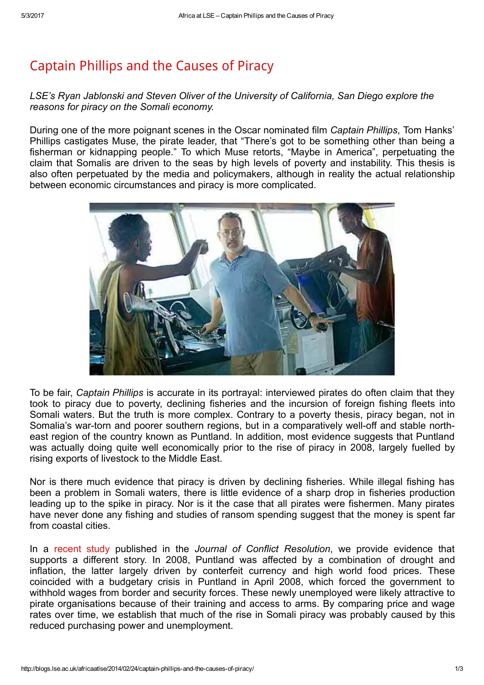## [Captain](http://blogs.lse.ac.uk/africaatlse/2014/02/24/captain-phillips-and-the-causes-of-piracy/) Phillips and the Causes of Piracy

LSE's Ryan Jablonski and Steven Oliver of the University of California, San Diego explore the reasons for piracy on the Somali economy.

During one of the more poignant scenes in the Oscar nominated film Captain Phillips, Tom Hanks' Phillips castigates Muse, the pirate leader, that "There's got to be something other than being a fisherman or kidnapping people." To which Muse retorts, "Maybe in America", perpetuating the claim that Somalis are driven to the seas by high levels of poverty and instability. This thesis is also often perpetuated by the media and policymakers, although in reality the actual relationship between economic circumstances and piracy is more complicated.



To be fair, Captain Phillips is accurate in its portrayal: interviewed pirates do often claim that they took to piracy due to poverty, declining fisheries and the incursion of foreign fishing fleets into Somali waters. But the truth is more complex. Contrary to a poverty thesis, piracy began, not in Somalia's war-torn and poorer southern regions, but in a comparatively well-off and stable northeast region of the country known as Puntland. In addition, most evidence suggests that Puntland was actually doing quite well economically prior to the rise of piracy in 2008, largely fuelled by rising exports of livestock to the Middle East.

Nor is there much evidence that piracy is driven by declining fisheries. While illegal fishing has been a problem in Somali waters, there is little evidence of a sharp drop in fisheries production leading up to the spike in piracy. Nor is it the case that all pirates were fishermen. Many pirates have never done any fishing and studies of ransom spending suggest that the money is spent far from coastal cities.

In a [recent](http://jcr.sagepub.com/content/57/4/682.full) study published in the Journal of Conflict Resolution, we provide evidence that supports a different story. In 2008, Puntland was affected by a combination of drought and inflation, the latter largely driven by conterfeit currency and high world food prices. These coincided with a budgetary crisis in Puntland in April 2008, which forced the government to withhold wages from border and security forces. These newly unemployed were likely attractive to pirate organisations because of their training and access to arms. By comparing price and wage rates over time, we establish that much of the rise in Somali piracy was probably caused by this reduced purchasing power and unemployment.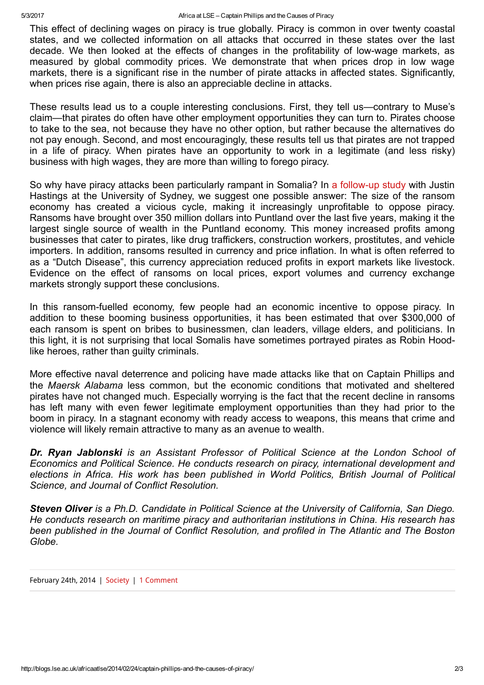This effect of declining wages on piracy is true globally. Piracy is common in over twenty coastal states, and we collected information on all attacks that occurred in these states over the last decade. We then looked at the effects of changes in the profitability of lowwage markets, as measured by global commodity prices. We demonstrate that when prices drop in low wage markets, there is a significant rise in the number of pirate attacks in affected states. Significantly, when prices rise again, there is also an appreciable decline in attacks.

These results lead us to a couple interesting conclusions. First, they tell us—contrary to Muse's claim—that pirates do often have other employment opportunities they can turn to. Pirates choose to take to the sea, not because they have no other option, but rather because the alternatives do not pay enough. Second, and most encouragingly, these results tell us that pirates are not trapped in a life of piracy. When pirates have an opportunity to work in a legitimate (and less risky) business with high wages, they are more than willing to forego piracy.

So why have piracy attacks been particularly rampant in Somalia? In a follow-up study with Justin Hastings at the University of Sydney, we suggest one possible answer: The size of the ransom economy has created a vicious cycle, making it increasingly unprofitable to oppose piracy. Ransoms have brought over 350 million dollars into Puntland over the last five years, making it the largest single source of wealth in the Puntland economy. This money increased profits among businesses that cater to pirates, like drug traffickers, construction workers, prostitutes, and vehicle importers. In addition, ransoms resulted in currency and price inflation. In what is often referred to as a "Dutch Disease", this currency appreciation reduced profits in export markets like livestock. Evidence on the effect of ransoms on local prices, export volumes and currency exchange markets strongly support these conclusions.

In this ransom-fuelled economy, few people had an economic incentive to oppose piracy. In addition to these booming business opportunities, it has been estimated that over \$300,000 of each ransom is spent on bribes to businessmen, clan leaders, village elders, and politicians. In this light, it is not surprising that local Somalis have sometimes portrayed pirates as Robin Hoodlike heroes, rather than guilty criminals.

More effective naval deterrence and policing have made attacks like that on Captain Phillips and the Maersk Alabama less common, but the economic conditions that motivated and sheltered pirates have not changed much. Especially worrying is the fact that the recent decline in ransoms has left many with even fewer legitimate employment opportunities than they had prior to the boom in piracy. In a stagnant economy with ready access to weapons, this means that crime and violence will likely remain attractive to many as an avenue to wealth.

Dr. Ryan Jablonski is an Assistant Professor of Political Science at the London School of Economics and Political Science. He conducts research on piracy, international development and elections in Africa. His work has been published in World Politics, British Journal of Political Science, and Journal of Conflict Resolution.

Steven Oliver is a Ph.D. Candidate in Political Science at the University of California, San Diego. He conducts research on maritime piracy and authoritarian institutions in China. His research has been published in the Journal of Conflict Resolution, and profiled in The Atlantic and The Boston Globe.

February 24th, 2014 | [Society](http://blogs.lse.ac.uk/africaatlse/category/society/) | 1 Comment